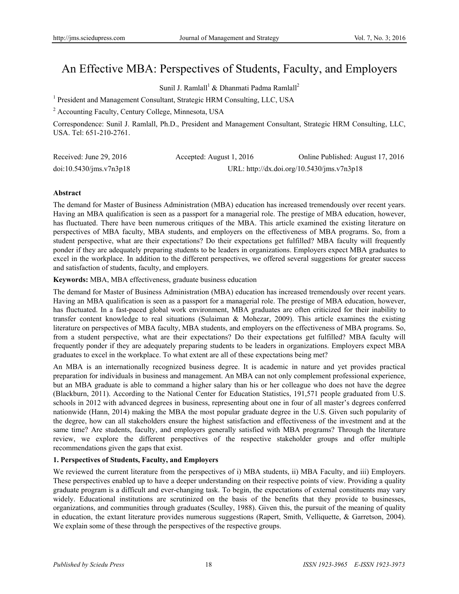# An Effective MBA: Perspectives of Students, Faculty, and Employers

Sunil J. Ramlall<sup>1</sup> & Dhanmati Padma Ramlall<sup>2</sup>

<sup>1</sup> President and Management Consultant, Strategic HRM Consulting, LLC, USA

<sup>2</sup> Accounting Faculty, Century College, Minnesota, USA

Correspondence: Sunil J. Ramlall, Ph.D., President and Management Consultant, Strategic HRM Consulting, LLC, USA. Tel: 651-210-2761.

| Received: June 29, 2016 | Accepted: August 1, 2016                   | Online Published: August 17, 2016 |
|-------------------------|--------------------------------------------|-----------------------------------|
| doi:10.5430/ims.v7n3p18 | URL: http://dx.doi.org/10.5430/jms.v7n3p18 |                                   |

### **Abstract**

The demand for Master of Business Administration (MBA) education has increased tremendously over recent years. Having an MBA qualification is seen as a passport for a managerial role. The prestige of MBA education, however, has fluctuated. There have been numerous critiques of the MBA. This article examined the existing literature on perspectives of MBA faculty, MBA students, and employers on the effectiveness of MBA programs. So, from a student perspective, what are their expectations? Do their expectations get fulfilled? MBA faculty will frequently ponder if they are adequately preparing students to be leaders in organizations. Employers expect MBA graduates to excel in the workplace. In addition to the different perspectives, we offered several suggestions for greater success and satisfaction of students, faculty, and employers.

**Keywords:** MBA, MBA effectiveness, graduate business education

The demand for Master of Business Administration (MBA) education has increased tremendously over recent years. Having an MBA qualification is seen as a passport for a managerial role. The prestige of MBA education, however, has fluctuated. In a fast-paced global work environment, MBA graduates are often criticized for their inability to transfer content knowledge to real situations (Sulaiman & Mohezar, 2009). This article examines the existing literature on perspectives of MBA faculty, MBA students, and employers on the effectiveness of MBA programs. So, from a student perspective, what are their expectations? Do their expectations get fulfilled? MBA faculty will frequently ponder if they are adequately preparing students to be leaders in organizations. Employers expect MBA graduates to excel in the workplace. To what extent are all of these expectations being met?

An MBA is an internationally recognized business degree. It is academic in nature and yet provides practical preparation for individuals in business and management. An MBA can not only complement professional experience, but an MBA graduate is able to command a higher salary than his or her colleague who does not have the degree (Blackburn, 2011). According to the National Center for Education Statistics, 191,571 people graduated from U.S. schools in 2012 with advanced degrees in business, representing about one in four of all master's degrees conferred nationwide (Hann, 2014) making the MBA the most popular graduate degree in the U.S. Given such popularity of the degree, how can all stakeholders ensure the highest satisfaction and effectiveness of the investment and at the same time? Are students, faculty, and employers generally satisfied with MBA programs? Through the literature review, we explore the different perspectives of the respective stakeholder groups and offer multiple recommendations given the gaps that exist.

## **1. Perspectives of Students, Faculty, and Employers**

We reviewed the current literature from the perspectives of i) MBA students, ii) MBA Faculty, and iii) Employers. These perspectives enabled up to have a deeper understanding on their respective points of view. Providing a quality graduate program is a difficult and ever-changing task. To begin, the expectations of external constituents may vary widely. Educational institutions are scrutinized on the basis of the benefits that they provide to businesses, organizations, and communities through graduates (Sculley, 1988). Given this, the pursuit of the meaning of quality in education, the extant literature provides numerous suggestions (Rapert, Smith, Velliquette, & Garretson, 2004). We explain some of these through the perspectives of the respective groups.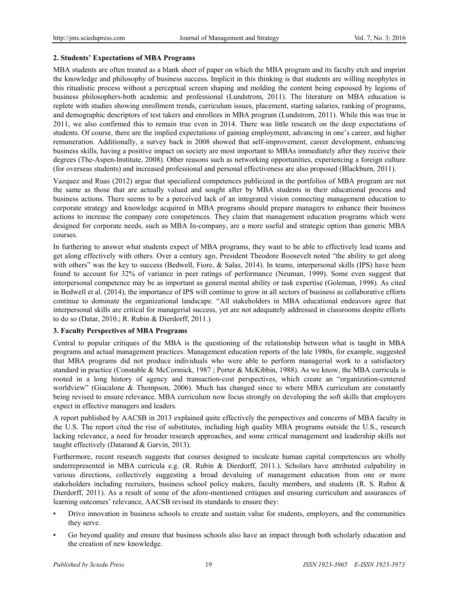#### **2. Students' Expectations of MBA Programs**

MBA students are often treated as a blank sheet of paper on which the MBA program and its faculty etch and imprint the knowledge and philosophy of business success. Implicit in this thinking is that students are willing neophytes in this ritualistic process without a perceptual screen shaping and molding the content being espoused by legions of business philosophers-both academic and professional (Lundstrom, 2011). The literature on MBA education is replete with studies showing enrollment trends, curriculum issues, placement, starting salaries, ranking of programs, and demographic descriptors of test takers and enrollees in MBA program (Lundstrom, 2011). While this was true in 2011, we also confirmed this to remain true even in 2014. There was little research on the deep expectations of students. Of course, there are the implied expectations of gaining employment, advancing in one's career, and higher remuneration. Additionally, a survey back in 2008 showed that self-improvement, career development, enhancing business skills, having a positive impact on society are most important to MBAs immediately after they receive their degrees (The-Aspen-Institute, 2008). Other reasons such as networking opportunities, experiencing a foreign culture (for overseas students) and increased professional and personal effectiveness are also proposed (Blackburn, 2011).

Vazquez and Ruas (2012) argue that specialized competences publicized in the portfolios of MBA program are not the same as those that are actually valued and sought after by MBA students in their educational process and business actions. There seems to be a perceived lack of an integrated vision connecting management education to corporate strategy and knowledge acquired in MBA programs should prepare managers to enhance their business actions to increase the company core competences. They claim that management education programs which were designed for corporate needs, such as MBA In-company, are a more useful and strategic option than generic MBA courses.

In furthering to answer what students expect of MBA programs, they want to be able to effectively lead teams and get along effectively with others. Over a century ago, President Theodore Roosevelt noted "the ability to get along with others" was the key to success (Bedwell, Fiore, & Salas, 2014). In teams, interpersonal skills (IPS) have been found to account for 32% of variance in peer ratings of performance (Neuman, 1999). Some even suggest that interpersonal competence may be as important as general mental ability or task expertise (Goleman, 1998). As cited in Bedwell et al. (2014), the importance of IPS will continue to grow in all sectors of business as collaborative efforts continue to dominate the organizational landscape. "All stakeholders in MBA educational endeavors agree that interpersonal skills are critical for managerial success, yet are not adequately addressed in classrooms despite efforts to do so (Datar, 2010.; R. Rubin & Dierdorff, 2011.)

#### **3. Faculty Perspectives of MBA Programs**

Central to popular critiques of the MBA is the questioning of the relationship between what is taught in MBA programs and actual management practices. Management education reports of the late 1980s, for example, suggested that MBA programs did not produce individuals who were able to perform managerial work to a satisfactory standard in practice (Constable & McCormick, 1987 ; Porter & McKibbin, 1988). As we know, the MBA curricula is rooted in a long history of agency and transaction-cost perspectives, which create an "organization-centered worldview" (Giacalone & Thompson, 2006). Much has changed since to where MBA curriculum are constantly being revised to ensure relevance. MBA curriculum now focus strongly on developing the soft skills that employers expect in effective managers and leaders.

A report published by AACSB in 2013 explained quite effectively the perspectives and concerns of MBA faculty in the U.S. The report cited the rise of substitutes, including high quality MBA programs outside the U.S., research lacking relevance, a need for broader research approaches, and some critical management and leadership skills not taught effectively (Datarand & Garvin, 2013).

Furthermore, recent research suggests that courses designed to inculcate human capital competencies are wholly underrepresented in MBA curricula e.g. (R. Rubin & Dierdorff, 2011.). Scholars have attributed culpability in various directions, collectively suggesting a broad devaluing of management education from one or more stakeholders including recruiters, business school policy makers, faculty members, and students (R. S. Rubin & Dierdorff, 2011). As a result of some of the afore-mentioned critiques and ensuring curriculum and assurances of learning outcomes' relevance, AACSB revised its standards to ensure they:

- Drive innovation in business schools to create and sustain value for students, employers, and the communities they serve.
- Go beyond quality and ensure that business schools also have an impact through both scholarly education and the creation of new knowledge.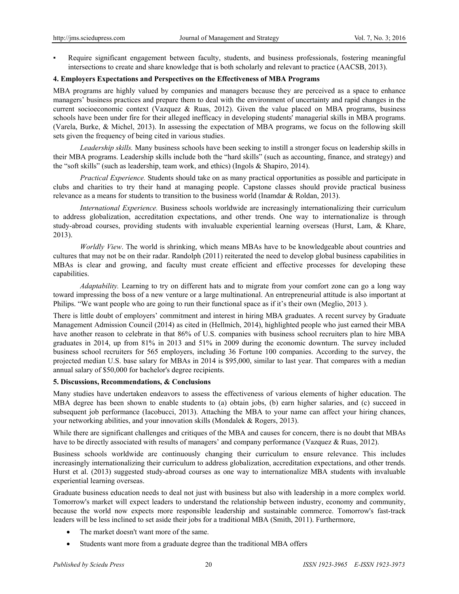Require significant engagement between faculty, students, and business professionals, fostering meaningful intersections to create and share knowledge that is both scholarly and relevant to practice (AACSB, 2013).

#### **4. Employers Expectations and Perspectives on the Effectiveness of MBA Programs**

MBA programs are highly valued by companies and managers because they are perceived as a space to enhance managers' business practices and prepare them to deal with the environment of uncertainty and rapid changes in the current socioeconomic context (Vazquez & Ruas, 2012). Given the value placed on MBA programs, business schools have been under fire for their alleged inefficacy in developing students' managerial skills in MBA programs. (Varela, Burke, & Michel, 2013). In assessing the expectation of MBA programs, we focus on the following skill sets given the frequency of being cited in various studies.

*Leadership skills.* Many business schools have been seeking to instill a stronger focus on leadership skills in their MBA programs. Leadership skills include both the "hard skills" (such as accounting, finance, and strategy) and the "soft skills" (such as leadership, team work, and ethics) (Ingols & Shapiro, 2014).

*Practical Experience.* Students should take on as many practical opportunities as possible and participate in clubs and charities to try their hand at managing people. Capstone classes should provide practical business relevance as a means for students to transition to the business world (Inamdar & Roldan, 2013).

*International Experience.* Business schools worldwide are increasingly internationalizing their curriculum to address globalization, accreditation expectations, and other trends. One way to internationalize is through study-abroad courses, providing students with invaluable experiential learning overseas (Hurst, Lam, & Khare, 2013).

*Worldly View*. The world is shrinking, which means MBAs have to be knowledgeable about countries and cultures that may not be on their radar. Randolph (2011) reiterated the need to develop global business capabilities in MBAs is clear and growing, and faculty must create efficient and effective processes for developing these capabilities.

*Adaptability.* Learning to try on different hats and to migrate from your comfort zone can go a long way toward impressing the boss of a new venture or a large multinational. An entrepreneurial attitude is also important at Philips. "We want people who are going to run their functional space as if it's their own (Meglio, 2013 ).

There is little doubt of employers' commitment and interest in hiring MBA graduates. A recent survey by Graduate Management Admission Council (2014) as cited in (Hellmich, 2014), highlighted people who just earned their MBA have another reason to celebrate in that 86% of U.S. companies with business school recruiters plan to hire MBA graduates in 2014, up from 81% in 2013 and 51% in 2009 during the economic downturn. The survey included business school recruiters for 565 employers, including 36 Fortune 100 companies. According to the survey, the projected median U.S. base salary for MBAs in 2014 is \$95,000, similar to last year. That compares with a median annual salary of \$50,000 for bachelor's degree recipients.

#### **5. Discussions, Recommendations, & Conclusions**

Many studies have undertaken endeavors to assess the effectiveness of various elements of higher education. The MBA degree has been shown to enable students to (a) obtain jobs, (b) earn higher salaries, and (c) succeed in subsequent job performance (Iacobucci, 2013). Attaching the MBA to your name can affect your hiring chances, your networking abilities, and your innovation skills (Mondalek & Rogers, 2013).

While there are significant challenges and critiques of the MBA and causes for concern, there is no doubt that MBAs have to be directly associated with results of managers' and company performance (Vazquez & Ruas, 2012).

Business schools worldwide are continuously changing their curriculum to ensure relevance. This includes increasingly internationalizing their curriculum to address globalization, accreditation expectations, and other trends. Hurst et al. (2013) suggested study-abroad courses as one way to internationalize MBA students with invaluable experiential learning overseas.

Graduate business education needs to deal not just with business but also with leadership in a more complex world. Tomorrow's market will expect leaders to understand the relationship between industry, economy and community, because the world now expects more responsible leadership and sustainable commerce. Tomorrow's fast-track leaders will be less inclined to set aside their jobs for a traditional MBA (Smith, 2011). Furthermore,

- The market doesn't want more of the same.
- Students want more from a graduate degree than the traditional MBA offers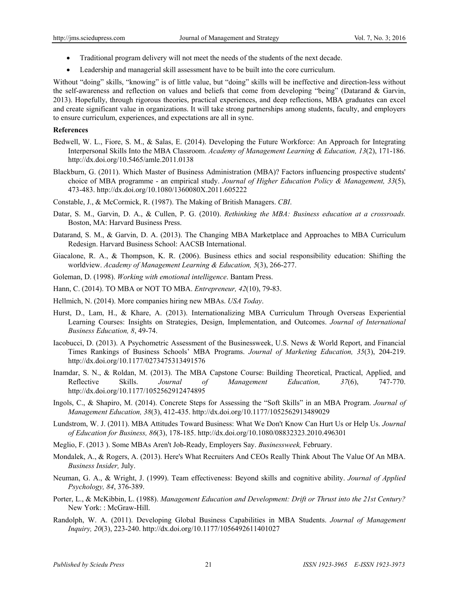- Traditional program delivery will not meet the needs of the students of the next decade.
- Leadership and managerial skill assessment have to be built into the core curriculum.

Without "doing" skills, "knowing" is of little value, but "doing" skills will be ineffective and direction-less without the self-awareness and reflection on values and beliefs that come from developing "being" (Datarand & Garvin, 2013). Hopefully, through rigorous theories, practical experiences, and deep reflections, MBA graduates can excel and create significant value in organizations. It will take strong partnerships among students, faculty, and employers to ensure curriculum, experiences, and expectations are all in sync.

#### **References**

- Bedwell, W. L., Fiore, S. M., & Salas, E. (2014). Developing the Future Workforce: An Approach for Integrating Interpersonal Skills Into the MBA Classroom. *Academy of Management Learning & Education, 13*(2), 171-186. http://dx.doi.org/10.5465/amle.2011.0138
- Blackburn, G. (2011). Which Master of Business Administration (MBA)? Factors influencing prospective students' choice of MBA programme - an empirical study. *Journal of Higher Education Policy & Management, 33*(5), 473-483. http://dx.doi.org/10.1080/1360080X.2011.605222
- Constable, J., & McCormick, R. (1987). The Making of British Managers. *CBI*.
- Datar, S. M., Garvin, D. A., & Cullen, P. G. (2010). *Rethinking the MBA: Business education at a crossroads.*  Boston, MA: Harvard Business Press.
- Datarand, S. M., & Garvin, D. A. (2013). The Changing MBA Marketplace and Approaches to MBA Curriculum Redesign. Harvard Business School: AACSB International.
- Giacalone, R. A., & Thompson, K. R. (2006). Business ethics and social responsibility education: Shifting the worldview. *Academy of Management Learning & Education, 5*(3), 266-277.
- Goleman, D. (1998). *Working with emotional intelligence*. Bantam Press.
- Hann, C. (2014). TO MBA or NOT TO MBA. *Entrepreneur, 42*(10), 79-83.
- Hellmich, N. (2014). More companies hiring new MBAs. *USA Today*.
- Hurst, D., Lam, H., & Khare, A. (2013). Internationalizing MBA Curriculum Through Overseas Experiential Learning Courses: Insights on Strategies, Design, Implementation, and Outcomes. *Journal of International Business Education, 8*, 49-74.
- Iacobucci, D. (2013). A Psychometric Assessment of the Businessweek, U.S. News & World Report, and Financial Times Rankings of Business Schools' MBA Programs. *Journal of Marketing Education, 35*(3), 204-219. http://dx.doi.org/10.1177/0273475313491576
- Inamdar, S. N., & Roldan, M. (2013). The MBA Capstone Course: Building Theoretical, Practical, Applied, and Reflective Skills. *Journal of Management Education, 37*(6), 747-770. http://dx.doi.org/10.1177/1052562912474895
- Ingols, C., & Shapiro, M. (2014). Concrete Steps for Assessing the "Soft Skills" in an MBA Program. *Journal of Management Education, 38*(3), 412-435. http://dx.doi.org/10.1177/1052562913489029
- Lundstrom, W. J. (2011). MBA Attitudes Toward Business: What We Don't Know Can Hurt Us or Help Us. *Journal of Education for Business, 86*(3), 178-185. http://dx.doi.org/10.1080/08832323.2010.496301
- Meglio, F. (2013 ). Some MBAs Aren't Job-Ready, Employers Say. *Businessweek,* February.
- Mondalek, A., & Rogers, A. (2013). Here's What Recruiters And CEOs Really Think About The Value Of An MBA. *Business Insider,* July.
- Neuman, G. A., & Wright, J. (1999). Team effectiveness: Beyond skills and cognitive ability. *Journal of Applied Psychology, 84*, 376-389.
- Porter, L., & McKibbin, L. (1988). *Management Education and Development: Drift or Thrust into the 21st Century?* New York: : McGraw-Hill.
- Randolph, W. A. (2011). Developing Global Business Capabilities in MBA Students. *Journal of Management Inquiry, 20*(3), 223-240. http://dx.doi.org/10.1177/1056492611401027